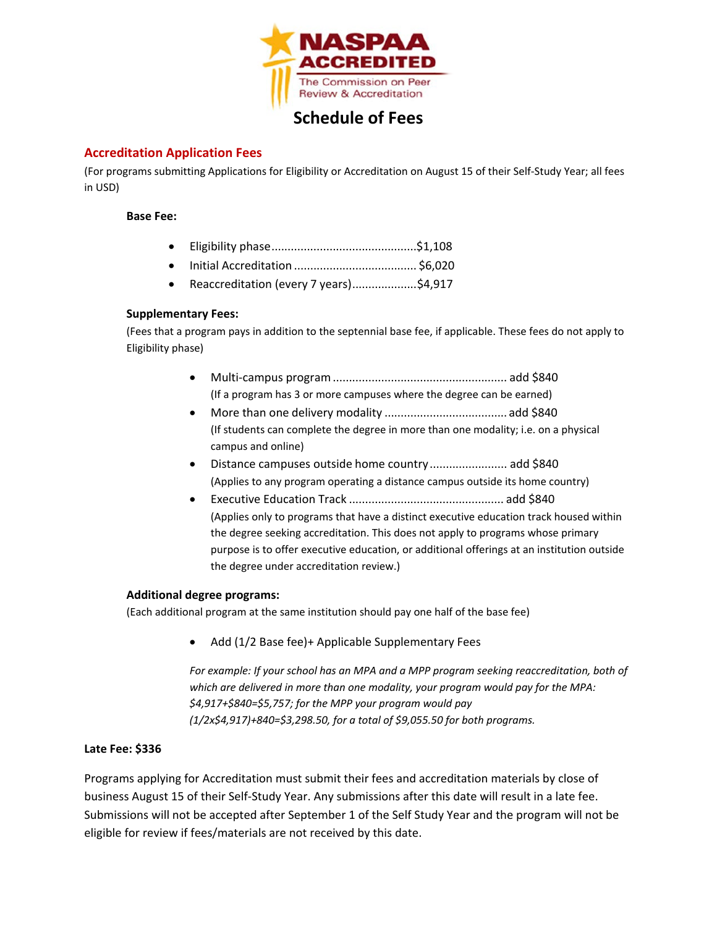

# **Schedule of Fees**

## **Accreditation Application Fees**

(For programs submitting Applications for Eligibility or Accreditation on August 15 of their Self-Study Year; all fees in USD)

#### **Base Fee:**

|--|--|--|--|--|--|

- Initial Accreditation ...................................... \$6,020
- Reaccreditation (every 7 years)....................\$4,917

## **Supplementary Fees:**

(Fees that a program pays in addition to the septennial base fee, if applicable. These fees do not apply to Eligibility phase)

- Multi-campus program...................................................... add \$840 (If a program has 3 or more campuses where the degree can be earned)
- More than one delivery modality ...................................... add \$840 (If students can complete the degree in more than one modality; i.e. on a physical campus and online)
- Distance campuses outside home country........................ add \$840 (Applies to any program operating a distance campus outside its home country)
- Executive Education Track ................................................ add \$840 (Applies only to programs that have a distinct executive education track housed within the degree seeking accreditation. This does not apply to programs whose primary purpose is to offer executive education, or additional offerings at an institution outside the degree under accreditation review.)

## **Additional degree programs:**

(Each additional program at the same institution should pay one half of the base fee)

• Add (1/2 Base fee)+ Applicable Supplementary Fees

*For example: If your school has an MPA and a MPP program seeking reaccreditation, both of which are delivered in more than one modality, your program would pay for the MPA: \$4,917+\$840=\$5,757; for the MPP your program would pay (1/2x\$4,917)+840=\$3,298.50, for a total of \$9,055.50 for both programs.*

## **Late Fee: \$336**

Programs applying for Accreditation must submit their fees and accreditation materials by close of business August 15 of their Self-Study Year. Any submissions after this date will result in a late fee. Submissions will not be accepted after September 1 of the Self Study Year and the program will not be eligible for review if fees/materials are not received by this date.